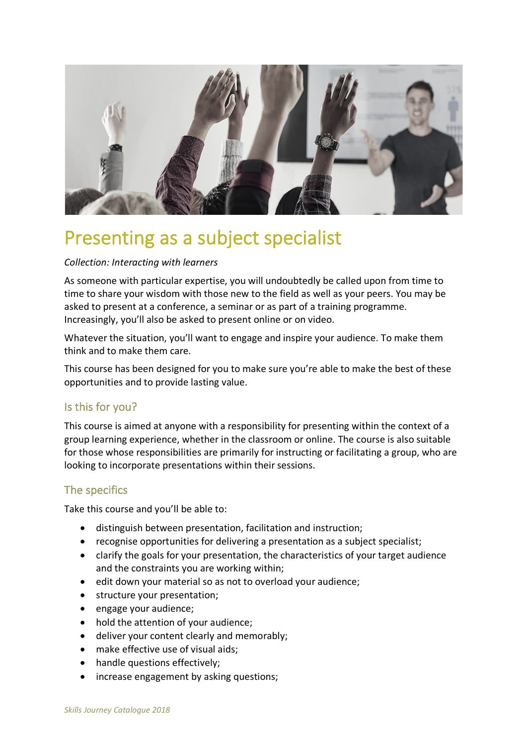

# Presenting as a subject specialist

#### *Collection: Interacting with learners*

As someone with particular expertise, you will undoubtedly be called upon from time to time to share your wisdom with those new to the field as well as your peers. You may be asked to present at a conference, a seminar or as part of a training programme. Increasingly, you'll also be asked to present online or on video.

Whatever the situation, you'll want to engage and inspire your audience. To make them think and to make them care.

This course has been designed for you to make sure you're able to make the best of these opportunities and to provide lasting value.

### Is this for you?

This course is aimed at anyone with a responsibility for presenting within the context of a group learning experience, whether in the classroom or online. The course is also suitable for those whose responsibilities are primarily for instructing or facilitating a group, who are looking to incorporate presentations within their sessions.

## The specifics

Take this course and you'll be able to:

- distinguish between presentation, facilitation and instruction;
- recognise opportunities for delivering a presentation as a subject specialist;
- clarify the goals for your presentation, the characteristics of your target audience and the constraints you are working within;
- edit down your material so as not to overload your audience;
- structure your presentation;
- engage your audience;
- hold the attention of your audience;
- deliver your content clearly and memorably;
- make effective use of visual aids;
- handle questions effectively;
- increase engagement by asking questions;